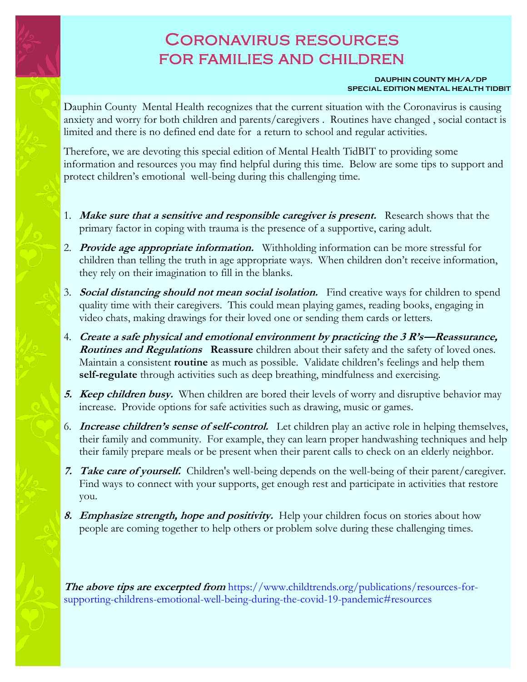## Coronavirus resources for families and children

## **DAUPHIN COUNTY MH/A/DP SPECIAL EDITION MENTAL HEALTH TIDBIT**

Dauphin County Mental Health recognizes that the current situation with the Coronavirus is causing anxiety and worry for both children and parents/caregivers . Routines have changed , social contact is limited and there is no defined end date for a return to school and regular activities.

Therefore, we are devoting this special edition of Mental Health TidBIT to providing some information and resources you may find helpful during this time. Below are some tips to support and protect children's emotional well-being during this challenging time.

- 1. **Make sure that a sensitive and responsible caregiver is present.** Research shows that the primary factor in coping with trauma is the presence of a supportive, caring adult.
- 2. **Provide age appropriate information.** Withholding information can be more stressful for children than telling the truth in age appropriate ways. When children don't receive information, they rely on their imagination to fill in the blanks.
- 3. **Social distancing should not mean social isolation.** Find creative ways for children to spend quality time with their caregivers. This could mean playing games, reading books, engaging in video chats, making drawings for their loved one or sending them cards or letters.
- 4. **Create a safe physical and emotional environment by practicing the 3 R's—Reassurance, Routines and Regulations Reassure** children about their safety and the safety of loved ones. Maintain a consistent **routine** as much as possible. Validate children's feelings and help them **self-regulate** through activities such as deep breathing, mindfulness and exercising.
- **5.** *Keep children busy.* When children are bored their levels of worry and disruptive behavior may increase. Provide options for safe activities such as drawing, music or games.
- 6. **Increase children's sense of self-control.** Let children play an active role in helping themselves, their family and community. For example, they can learn proper handwashing techniques and help their family prepare meals or be present when their parent calls to check on an elderly neighbor.
- **7. Take care of yourself.** Children's well-being depends on the well-being of their parent/caregiver. Find ways to connect with your supports, get enough rest and participate in activities that restore you.
- **8. Emphasize strength, hope and positivity.** Help your children focus on stories about how people are coming together to help others or problem solve during these challenging times.

**The above tips are excerpted from** https://www.childtrends.org/publications/resources-forsupporting-childrens-emotional-well-being-during-the-covid-19-pandemic#resources